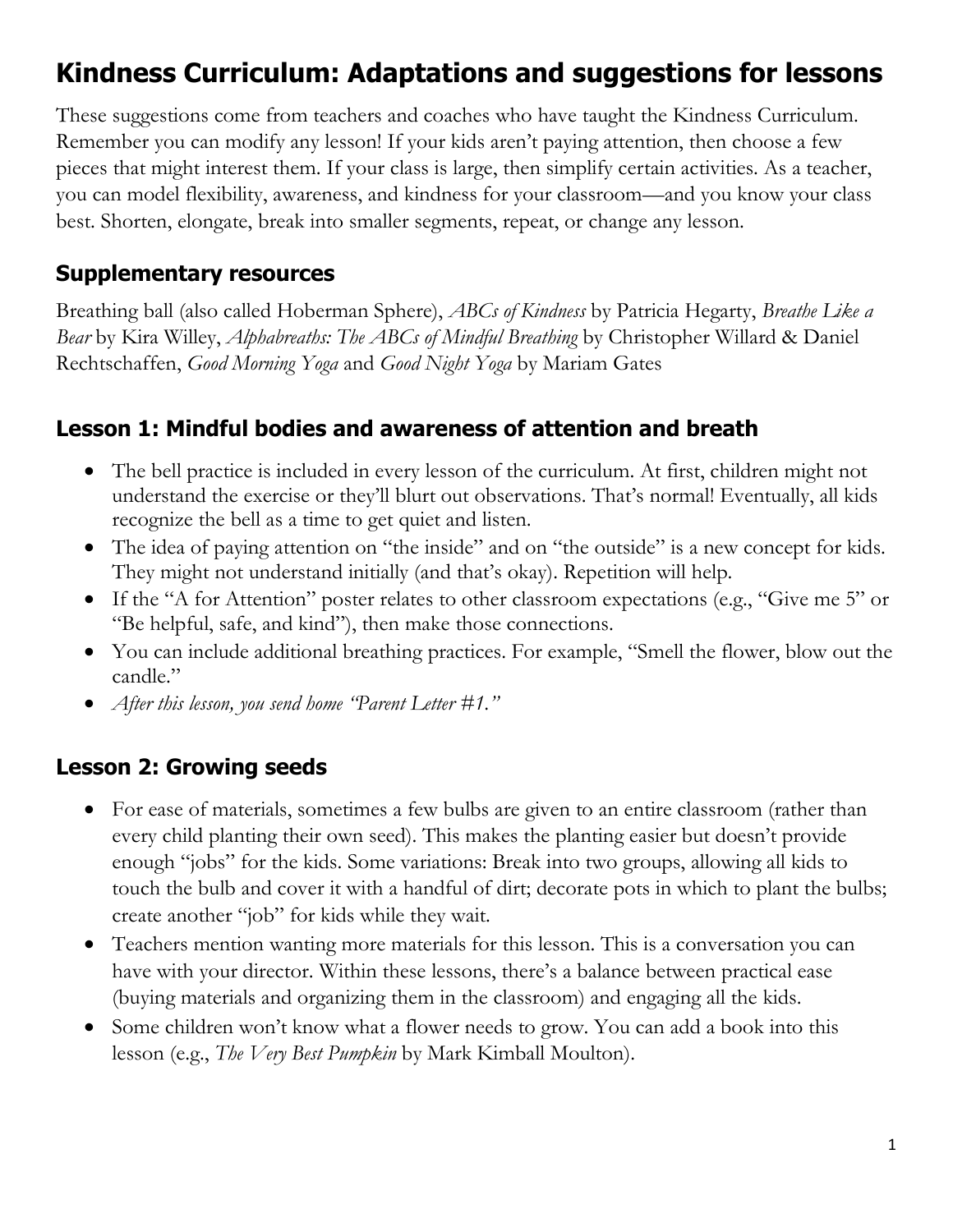# **Kindness Curriculum: Adaptations and suggestions for lessons**

These suggestions come from teachers and coaches who have taught the Kindness Curriculum. Remember you can modify any lesson! If your kids aren't paying attention, then choose a few pieces that might interest them. If your class is large, then simplify certain activities. As a teacher, you can model flexibility, awareness, and kindness for your classroom—and you know your class best. Shorten, elongate, break into smaller segments, repeat, or change any lesson.

#### **Supplementary resources**

Breathing ball (also called Hoberman Sphere), *ABCs of Kindness* by Patricia Hegarty, *Breathe Like a Bear* by Kira Willey, *Alphabreaths: The ABCs of Mindful Breathing* by Christopher Willard & Daniel Rechtschaffen, *Good Morning Yoga* and *Good Night Yoga* by Mariam Gates

#### **Lesson 1: Mindful bodies and awareness of attention and breath**

- The bell practice is included in every lesson of the curriculum. At first, children might not understand the exercise or they'll blurt out observations. That's normal! Eventually, all kids recognize the bell as a time to get quiet and listen.
- The idea of paying attention on "the inside" and on "the outside" is a new concept for kids. They might not understand initially (and that's okay). Repetition will help.
- If the "A for Attention" poster relates to other classroom expectations (e.g., "Give me 5" or "Be helpful, safe, and kind"), then make those connections.
- You can include additional breathing practices. For example, "Smell the flower, blow out the candle."
- *After this lesson, you send home "Parent Letter #1."*

#### **Lesson 2: Growing seeds**

- For ease of materials, sometimes a few bulbs are given to an entire classroom (rather than every child planting their own seed). This makes the planting easier but doesn't provide enough "jobs" for the kids. Some variations: Break into two groups, allowing all kids to touch the bulb and cover it with a handful of dirt; decorate pots in which to plant the bulbs; create another "job" for kids while they wait.
- Teachers mention wanting more materials for this lesson. This is a conversation you can have with your director. Within these lessons, there's a balance between practical ease (buying materials and organizing them in the classroom) and engaging all the kids.
- Some children won't know what a flower needs to grow. You can add a book into this lesson (e.g., *The Very Best Pumpkin* by Mark Kimball Moulton).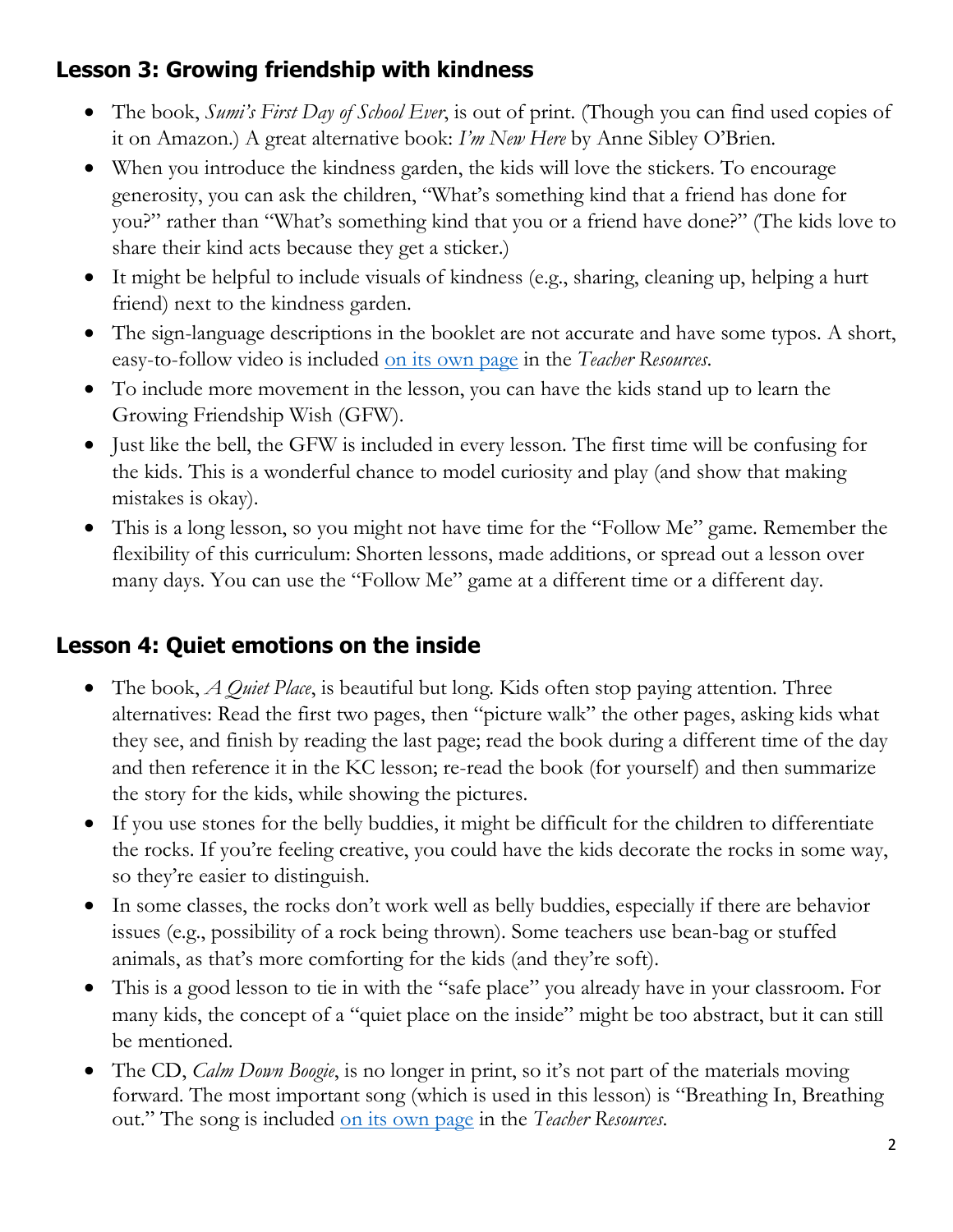# **Lesson 3: Growing friendship with kindness**

- The book, *Sumi's First Day of School Ever*, is out of print. (Though you can find used copies of it on Amazon.) A great alternative book: *I'm New Here* by Anne Sibley O'Brien.
- When you introduce the kindness garden, the kids will love the stickers. To encourage generosity, you can ask the children, "What's something kind that a friend has done for you?" rather than "What's something kind that you or a friend have done?" (The kids love to share their kind acts because they get a sticker.)
- It might be helpful to include visuals of kindness (e.g., sharing, cleaning up, helping a hurt friend) next to the kindness garden.
- The sign-language descriptions in the booklet are not accurate and have some typos. A short, easy-to-follow video is included [on its own page](https://www.communityearlylearningcenter.com/g) in the *Teacher Resources*.
- To include more movement in the lesson, you can have the kids stand up to learn the Growing Friendship Wish (GFW).
- Just like the bell, the GFW is included in every lesson. The first time will be confusing for the kids. This is a wonderful chance to model curiosity and play (and show that making mistakes is okay).
- This is a long lesson, so you might not have time for the "Follow Me" game. Remember the flexibility of this curriculum: Shorten lessons, made additions, or spread out a lesson over many days. You can use the "Follow Me" game at a different time or a different day.

# **Lesson 4: Quiet emotions on the inside**

- The book, *A Quiet Place*, is beautiful but long. Kids often stop paying attention. Three alternatives: Read the first two pages, then "picture walk" the other pages, asking kids what they see, and finish by reading the last page; read the book during a different time of the day and then reference it in the KC lesson; re-read the book (for yourself) and then summarize the story for the kids, while showing the pictures.
- If you use stones for the belly buddies, it might be difficult for the children to differentiate the rocks. If you're feeling creative, you could have the kids decorate the rocks in some way, so they're easier to distinguish.
- In some classes, the rocks don't work well as belly buddies, especially if there are behavior issues (e.g., possibility of a rock being thrown). Some teachers use bean-bag or stuffed animals, as that's more comforting for the kids (and they're soft).
- This is a good lesson to tie in with the "safe place" you already have in your classroom. For many kids, the concept of a "quiet place on the inside" might be too abstract, but it can still be mentioned.
- The CD, *Calm Down Boogie*, is no longer in print, so it's not part of the materials moving forward. The most important song (which is used in this lesson) is "Breathing In, Breathing out." The song is included on [its own page](https://www.communityearlylearningcenter.com/kindness-curriculum) in the *Teacher Resources*.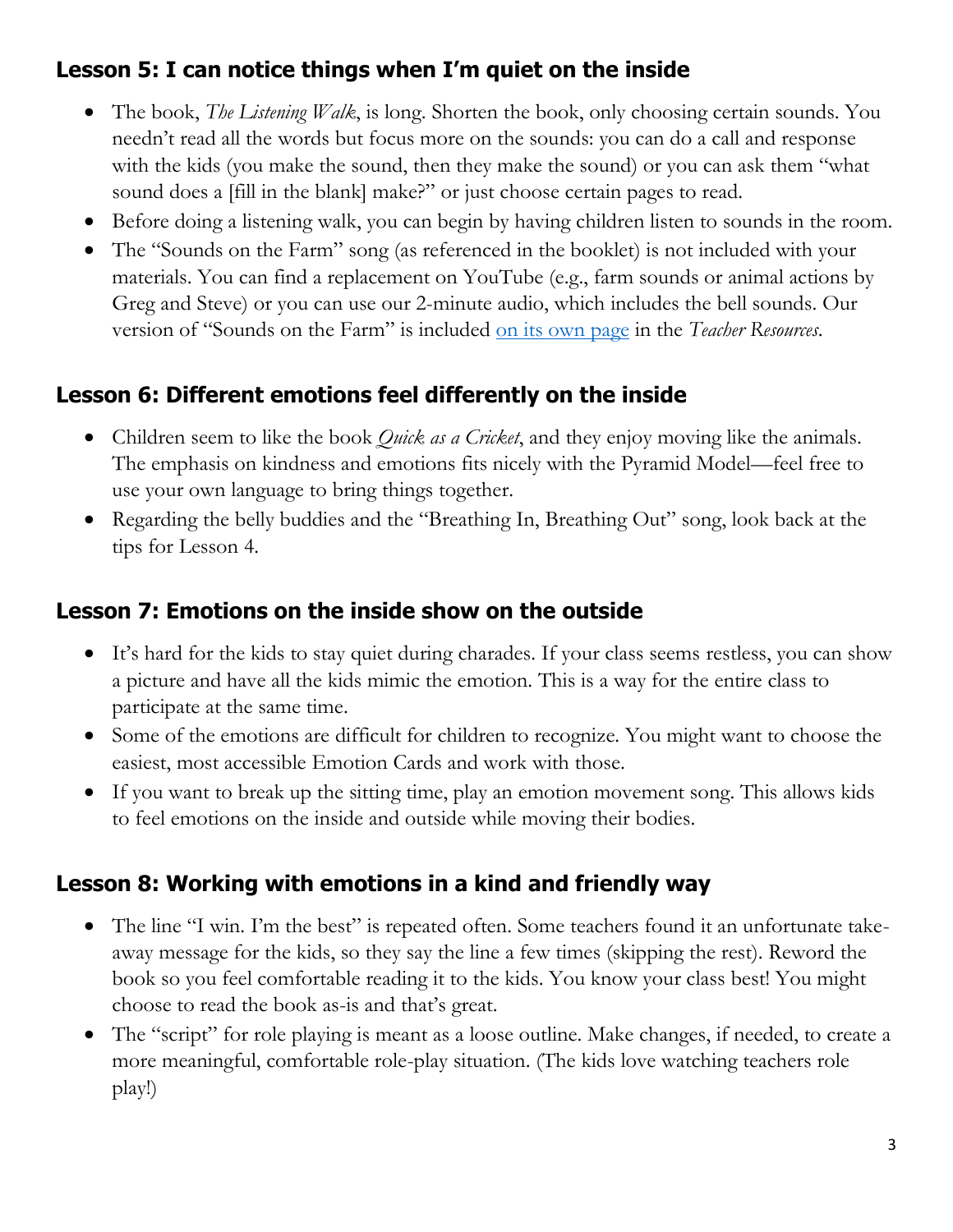# **Lesson 5: I can notice things when I'm quiet on the inside**

- The book, *The Listening Walk*, is long. Shorten the book, only choosing certain sounds. You needn't read all the words but focus more on the sounds: you can do a call and response with the kids (you make the sound, then they make the sound) or you can ask them "what sound does a [fill in the blank] make?" or just choose certain pages to read.
- Before doing a listening walk, you can begin by having children listen to sounds in the room.
- The "Sounds on the Farm" song (as referenced in the booklet) is not included with your materials. You can find a replacement on YouTube (e.g., farm sounds or animal actions by Greg and Steve) or you can use our 2-minute audio, which includes the bell sounds. Our version of "Sounds on the Farm" is included [on its own](https://www.communityearlylearningcenter.com/sounds-of-the-farm) page in the *Teacher Resources*.

#### **Lesson 6: Different emotions feel differently on the inside**

- Children seem to like the book *Quick as a Cricket*, and they enjoy moving like the animals. The emphasis on kindness and emotions fits nicely with the Pyramid Model—feel free to use your own language to bring things together.
- Regarding the belly buddies and the "Breathing In, Breathing Out" song, look back at the tips for Lesson 4.

#### **Lesson 7: Emotions on the inside show on the outside**

- It's hard for the kids to stay quiet during charades. If your class seems restless, you can show a picture and have all the kids mimic the emotion. This is a way for the entire class to participate at the same time.
- Some of the emotions are difficult for children to recognize. You might want to choose the easiest, most accessible Emotion Cards and work with those.
- If you want to break up the sitting time, play an emotion movement song. This allows kids to feel emotions on the inside and outside while moving their bodies.

#### **Lesson 8: Working with emotions in a kind and friendly way**

- The line "I win. I'm the best" is repeated often. Some teachers found it an unfortunate takeaway message for the kids, so they say the line a few times (skipping the rest). Reword the book so you feel comfortable reading it to the kids. You know your class best! You might choose to read the book as-is and that's great.
- The "script" for role playing is meant as a loose outline. Make changes, if needed, to create a more meaningful, comfortable role-play situation. (The kids love watching teachers role play!)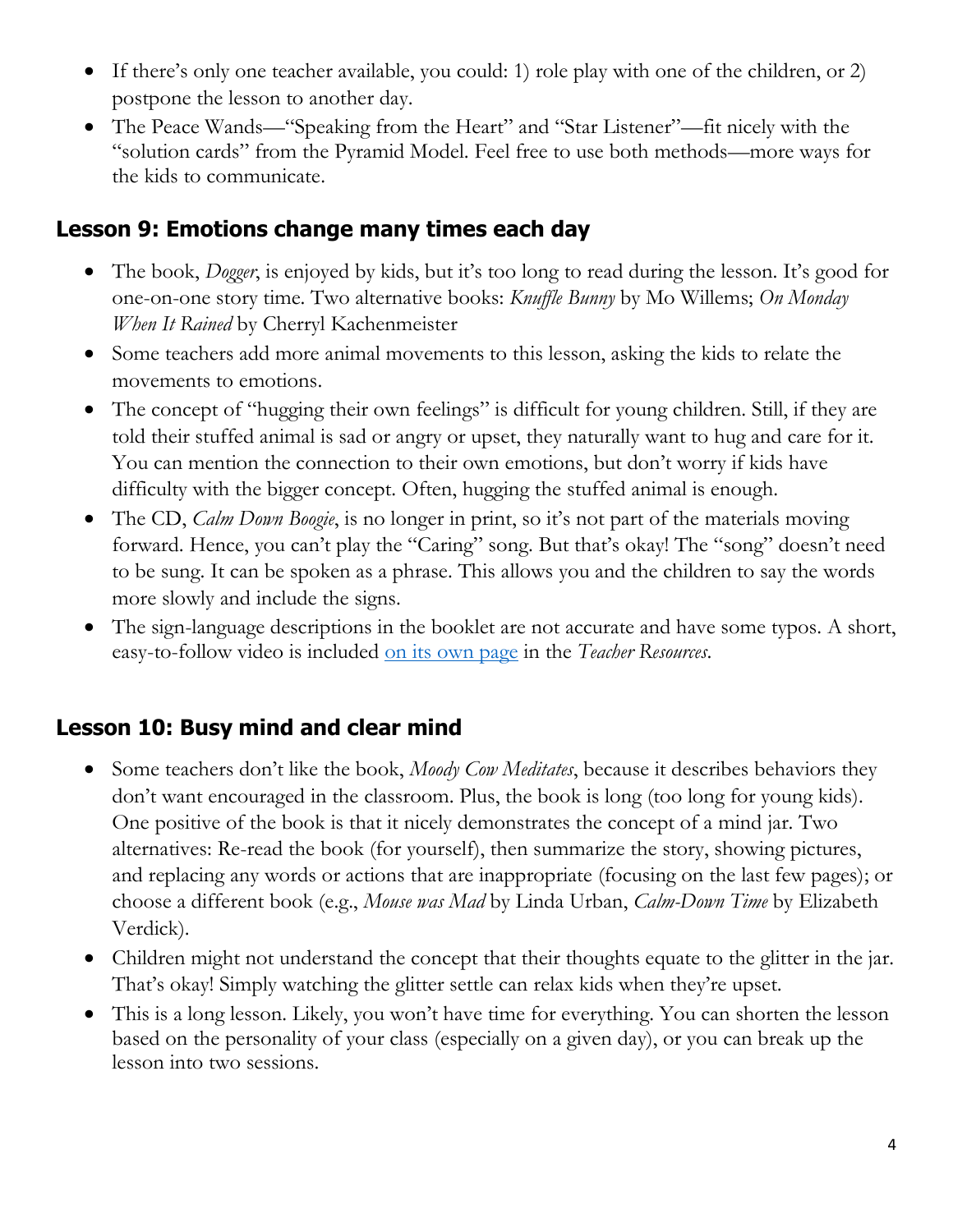- If there's only one teacher available, you could: 1) role play with one of the children, or 2) postpone the lesson to another day.
- The Peace Wands—"Speaking from the Heart" and "Star Listener"—fit nicely with the "solution cards" from the Pyramid Model. Feel free to use both methods—more ways for the kids to communicate.

#### **Lesson 9: Emotions change many times each day**

- The book, *Dogger*, is enjoyed by kids, but it's too long to read during the lesson. It's good for one-on-one story time. Two alternative books: *Knuffle Bunny* by Mo Willems; *On Monday When It Rained* by Cherryl Kachenmeister
- Some teachers add more animal movements to this lesson, asking the kids to relate the movements to emotions.
- The concept of "hugging their own feelings" is difficult for young children. Still, if they are told their stuffed animal is sad or angry or upset, they naturally want to hug and care for it. You can mention the connection to their own emotions, but don't worry if kids have difficulty with the bigger concept. Often, hugging the stuffed animal is enough.
- The CD, *Calm Down Boogie*, is no longer in print, so it's not part of the materials moving forward. Hence, you can't play the "Caring" song. But that's okay! The "song" doesn't need to be sung. It can be spoken as a phrase. This allows you and the children to say the words more slowly and include the signs.
- The sign-language descriptions in the booklet are not accurate and have some typos. A short, easy-to-follow video is included [on its own page](https://www.communityearlylearningcenter.com/caring-song-video) in the *Teacher Resources*.

#### **Lesson 10: Busy mind and clear mind**

- Some teachers don't like the book, *Moody Cow Meditates*, because it describes behaviors they don't want encouraged in the classroom. Plus, the book is long (too long for young kids). One positive of the book is that it nicely demonstrates the concept of a mind jar. Two alternatives: Re-read the book (for yourself), then summarize the story, showing pictures, and replacing any words or actions that are inappropriate (focusing on the last few pages); or choose a different book (e.g., *Mouse was Mad* by Linda Urban, *Calm-Down Time* by Elizabeth Verdick).
- Children might not understand the concept that their thoughts equate to the glitter in the jar. That's okay! Simply watching the glitter settle can relax kids when they're upset.
- This is a long lesson. Likely, you won't have time for everything. You can shorten the lesson based on the personality of your class (especially on a given day), or you can break up the lesson into two sessions.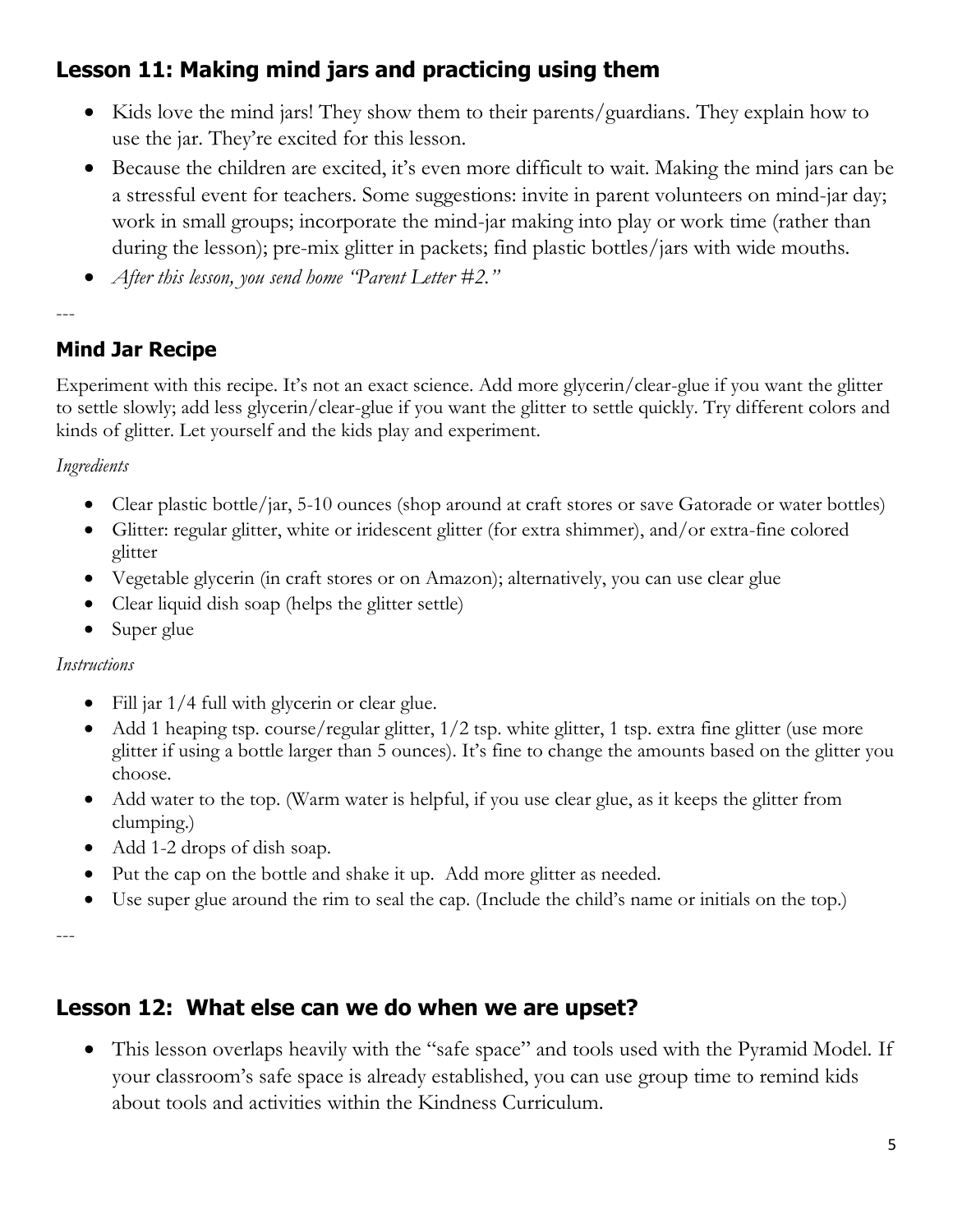# **Lesson 11: Making mind jars and practicing using them**

- Kids love the mind jars! They show them to their parents/guardians. They explain how to use the jar. They're excited for this lesson.
- Because the children are excited, it's even more difficult to wait. Making the mind jars can be a stressful event for teachers. Some suggestions: invite in parent volunteers on mind-jar day; work in small groups; incorporate the mind-jar making into play or work time (rather than during the lesson); pre-mix glitter in packets; find plastic bottles/jars with wide mouths.
- *After this lesson, you send home "Parent Letter #2."*

---

#### **Mind Jar Recipe**

Experiment with this recipe. It's not an exact science. Add more glycerin/clear-glue if you want the glitter to settle slowly; add less glycerin/clear-glue if you want the glitter to settle quickly. Try different colors and kinds of glitter. Let yourself and the kids play and experiment.

*Ingredients*

- Clear plastic bottle/jar, 5-10 ounces (shop around at craft stores or save Gatorade or water bottles)
- Glitter: regular glitter, white or iridescent glitter (for extra shimmer), and/or extra-fine colored glitter
- Vegetable glycerin (in craft stores or on Amazon); alternatively, you can use clear glue
- Clear liquid dish soap (helps the glitter settle)
- Super glue

#### *Instructions*

- Fill jar  $1/4$  full with glycerin or clear glue.
- Add 1 heaping tsp. course/regular glitter,  $1/2$  tsp. white glitter, 1 tsp. extra fine glitter (use more glitter if using a bottle larger than 5 ounces). It's fine to change the amounts based on the glitter you choose.
- Add water to the top. (Warm water is helpful, if you use clear glue, as it keeps the glitter from clumping.)
- Add 1-2 drops of dish soap.
- Put the cap on the bottle and shake it up. Add more glitter as needed.
- Use super glue around the rim to seal the cap. (Include the child's name or initials on the top.)

---

### **Lesson 12: What else can we do when we are upset?**

• This lesson overlaps heavily with the "safe space" and tools used with the Pyramid Model. If your classroom's safe space is already established, you can use group time to remind kids about tools and activities within the Kindness Curriculum.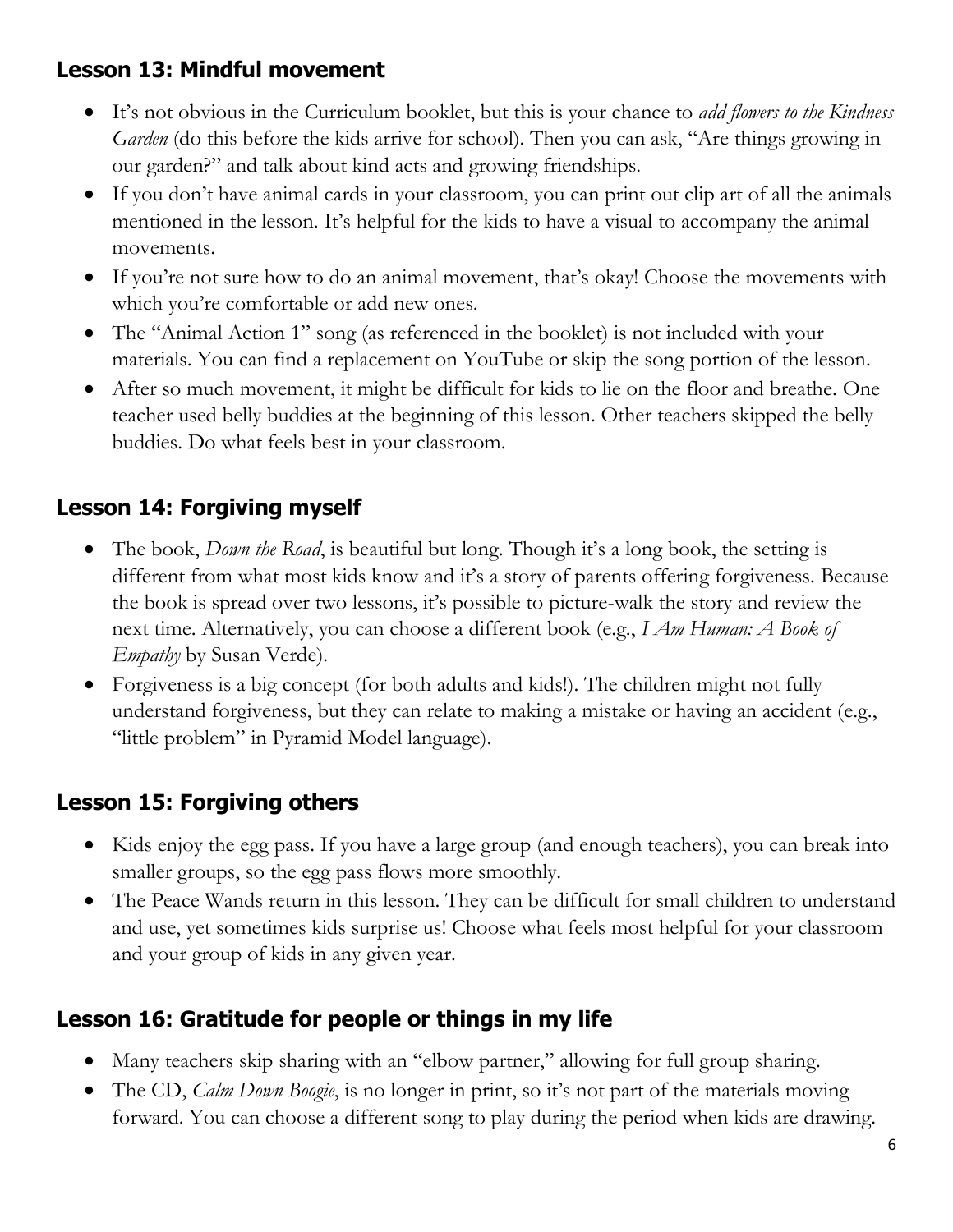# **Lesson 13: Mindful movement**

- It's not obvious in the Curriculum booklet, but this is your chance to *add flowers to the Kindness Garden* (do this before the kids arrive for school). Then you can ask, "Are things growing in our garden?" and talk about kind acts and growing friendships.
- If you don't have animal cards in your classroom, you can print out clip art of all the animals mentioned in the lesson. It's helpful for the kids to have a visual to accompany the animal movements.
- If you're not sure how to do an animal movement, that's okay! Choose the movements with which you're comfortable or add new ones.
- The "Animal Action 1" song (as referenced in the booklet) is not included with your materials. You can find a replacement on YouTube or skip the song portion of the lesson.
- After so much movement, it might be difficult for kids to lie on the floor and breathe. One teacher used belly buddies at the beginning of this lesson. Other teachers skipped the belly buddies. Do what feels best in your classroom.

# **Lesson 14: Forgiving myself**

- The book, *Down the Road*, is beautiful but long. Though it's a long book, the setting is different from what most kids know and it's a story of parents offering forgiveness. Because the book is spread over two lessons, it's possible to picture-walk the story and review the next time. Alternatively, you can choose a different book (e.g., *I Am Human: A Book of Empathy* by Susan Verde).
- Forgiveness is a big concept (for both adults and kids!). The children might not fully understand forgiveness, but they can relate to making a mistake or having an accident (e.g., "little problem" in Pyramid Model language).

### **Lesson 15: Forgiving others**

- Kids enjoy the egg pass. If you have a large group (and enough teachers), you can break into smaller groups, so the egg pass flows more smoothly.
- The Peace Wands return in this lesson. They can be difficult for small children to understand and use, yet sometimes kids surprise us! Choose what feels most helpful for your classroom and your group of kids in any given year.

# **Lesson 16: Gratitude for people or things in my life**

- Many teachers skip sharing with an "elbow partner," allowing for full group sharing.
- The CD, *Calm Down Boogie*, is no longer in print, so it's not part of the materials moving forward. You can choose a different song to play during the period when kids are drawing.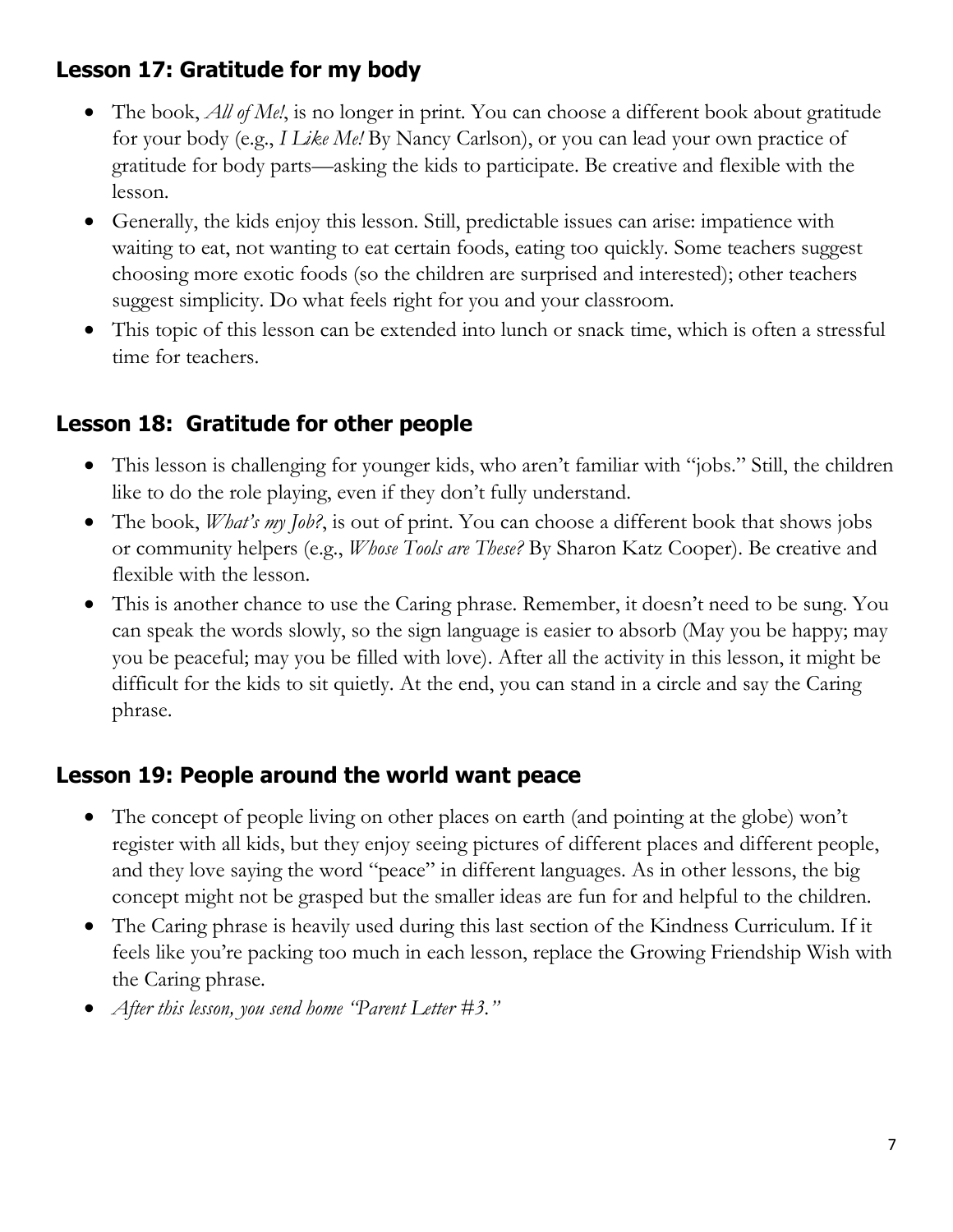# **Lesson 17: Gratitude for my body**

- The book, *All of Me!*, is no longer in print. You can choose a different book about gratitude for your body (e.g., *I Like Me!* By Nancy Carlson), or you can lead your own practice of gratitude for body parts—asking the kids to participate. Be creative and flexible with the lesson.
- Generally, the kids enjoy this lesson. Still, predictable issues can arise: impatience with waiting to eat, not wanting to eat certain foods, eating too quickly. Some teachers suggest choosing more exotic foods (so the children are surprised and interested); other teachers suggest simplicity. Do what feels right for you and your classroom.
- This topic of this lesson can be extended into lunch or snack time, which is often a stressful time for teachers.

### **Lesson 18: Gratitude for other people**

- This lesson is challenging for younger kids, who aren't familiar with "jobs." Still, the children like to do the role playing, even if they don't fully understand.
- The book, *What's my Job?*, is out of print. You can choose a different book that shows jobs or community helpers (e.g., *Whose Tools are These?* By Sharon Katz Cooper). Be creative and flexible with the lesson.
- This is another chance to use the Caring phrase. Remember, it doesn't need to be sung. You can speak the words slowly, so the sign language is easier to absorb (May you be happy; may you be peaceful; may you be filled with love). After all the activity in this lesson, it might be difficult for the kids to sit quietly. At the end, you can stand in a circle and say the Caring phrase.

#### **Lesson 19: People around the world want peace**

- The concept of people living on other places on earth (and pointing at the globe) won't register with all kids, but they enjoy seeing pictures of different places and different people, and they love saying the word "peace" in different languages. As in other lessons, the big concept might not be grasped but the smaller ideas are fun for and helpful to the children.
- The Caring phrase is heavily used during this last section of the Kindness Curriculum. If it feels like you're packing too much in each lesson, replace the Growing Friendship Wish with the Caring phrase.
- *After this lesson, you send home "Parent Letter #3."*